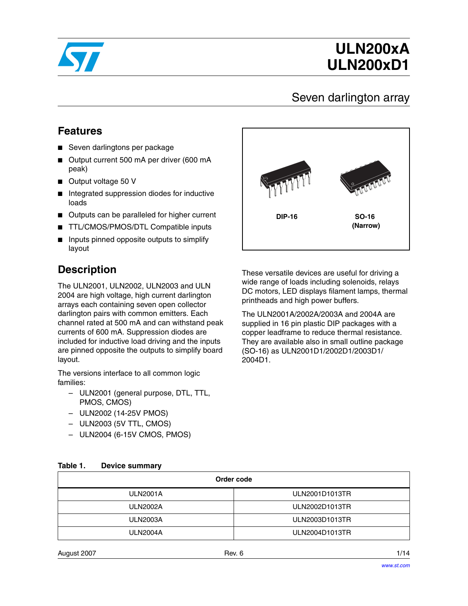

# **ULN200xA ULN200xD1**

### Seven darlington array

### **Features**

- Seven darlingtons per package
- Output current 500 mA per driver (600 mA peak)
- Output voltage 50 V
- Integrated suppression diodes for inductive loads
- Outputs can be paralleled for higher current
- TTL/CMOS/PMOS/DTL Compatible inputs
- Inputs pinned opposite outputs to simplify layout

### **Description**

The ULN2001, ULN2002, ULN2003 and ULN 2004 are high voltage, high current darlington arrays each containing seven open collector darlington pairs with common emitters. Each channel rated at 500 mA and can withstand peak currents of 600 mA. Suppression diodes are included for inductive load driving and the inputs are pinned opposite the outputs to simplify board layout.

The versions interface to all common logic families:

- ULN2001 (general purpose, DTL, TTL, PMOS, CMOS)
- ULN2002 (14-25V PMOS)
- ULN2003 (5V TTL, CMOS)
- <span id="page-0-0"></span>– ULN2004 (6-15V CMOS, PMOS)



These versatile devices are useful for driving a wide range of loads including solenoids, relays DC motors, LED displays filament lamps, thermal printheads and high power buffers.

The ULN2001A/2002A/2003A and 2004A are supplied in 16 pin plastic DIP packages with a copper leadframe to reduce thermal resistance. They are available also in small outline package (SO-16) as ULN2001D1/2002D1/2003D1/ 2004D1.

| Order code      |                |  |  |
|-----------------|----------------|--|--|
| <b>ULN2001A</b> | ULN2001D1013TR |  |  |
| <b>ULN2002A</b> | ULN2002D1013TR |  |  |
| <b>ULN2003A</b> | ULN2003D1013TR |  |  |
| <b>ULN2004A</b> | ULN2004D1013TR |  |  |
|                 |                |  |  |

#### **Table 1. Device summary**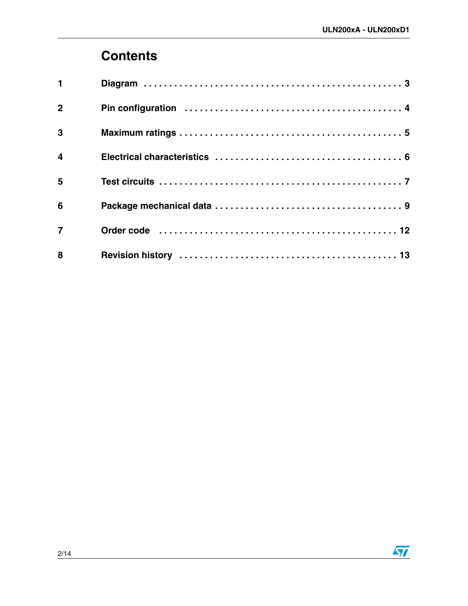## **[Contents](#page-2-0)**

| $\blacksquare$          |  |
|-------------------------|--|
| $\overline{2}$          |  |
| 3                       |  |
| $\overline{\mathbf{4}}$ |  |
| 5                       |  |
| $6\phantom{1}$          |  |
| $\overline{7}$          |  |
| 8                       |  |

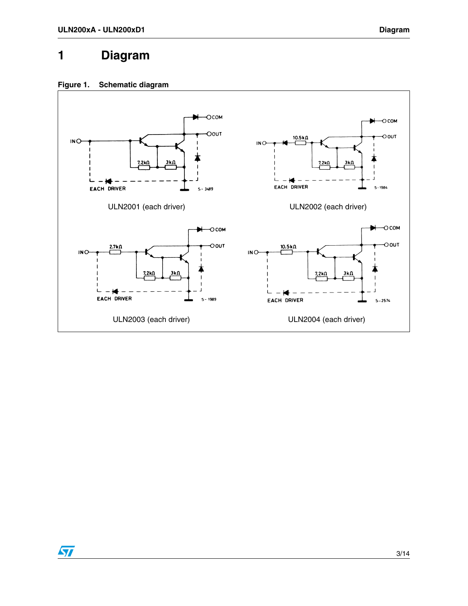### <span id="page-2-0"></span>**1 Diagram**

 $\sqrt{2}$ 



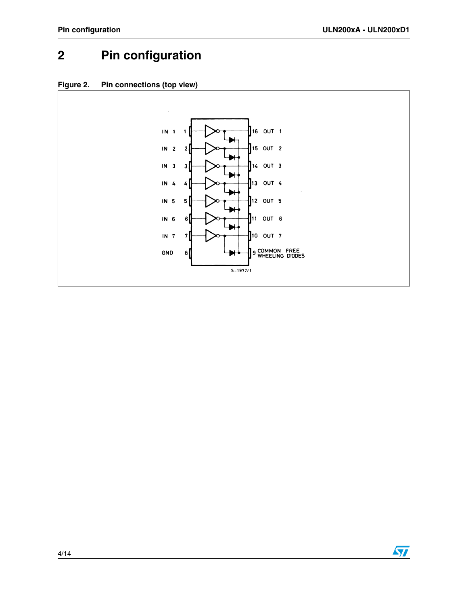## <span id="page-3-0"></span>**2 Pin configuration**



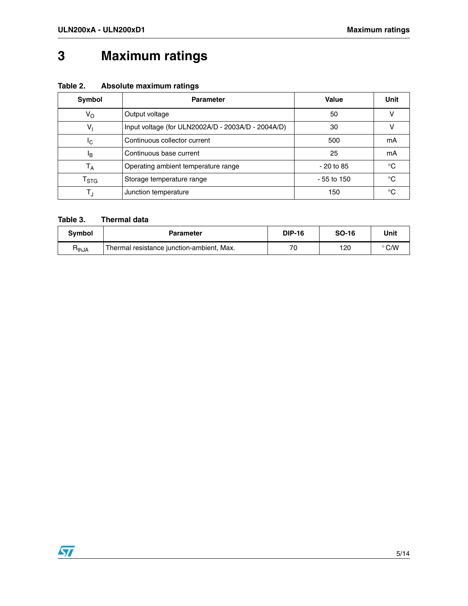## <span id="page-4-0"></span>**3 Maximum ratings**

| Table 2. | Absolute maximum ratings |  |
|----------|--------------------------|--|
|----------|--------------------------|--|

| <b>Symbol</b>               | <b>Parameter</b>                                   | Value        | Unit |
|-----------------------------|----------------------------------------------------|--------------|------|
| $V_{\rm O}$                 | Output voltage                                     | 50           |      |
| $V_1$                       | Input voltage (for ULN2002A/D - 2003A/D - 2004A/D) | 30           |      |
| Ιc                          | Continuous collector current                       | 500          | mA   |
| ΙB                          | Continuous base current                            | 25           | mΑ   |
| $T_A$                       | Operating ambient temperature range                | $-20$ to 85  | °C   |
| $\mathsf{T}_{\textsf{STG}}$ | Storage temperature range                          | $-55$ to 150 | °C   |
| T,                          | Junction temperature                               | 150          | °C   |

#### **Table 3. Thermal data**

| <b>Symbol</b>                | Parameter                                 | <b>DIP-16</b> | <b>SO-16</b> | Unit           |
|------------------------------|-------------------------------------------|---------------|--------------|----------------|
| $\mathsf{H}_{\mathsf{thJA}}$ | Thermal resistance junction-ambient, Max. | 70            | 120          | $^{\circ}$ C/W |

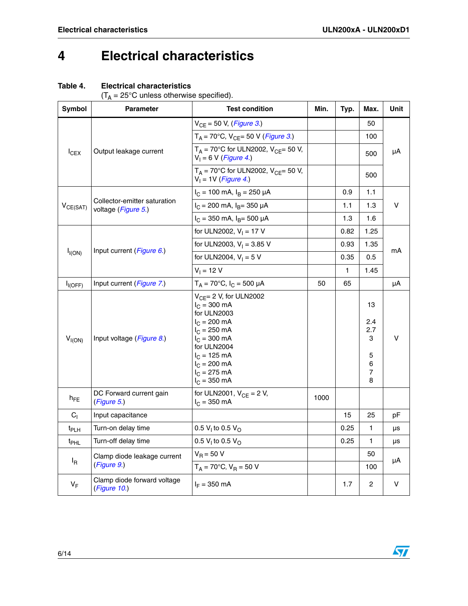## <span id="page-5-0"></span>**4 Electrical characteristics**

#### **Table 4. Electrical characteristics**

| $(T_A = 25^{\circ}$ C unless otherwise specified). |  |
|----------------------------------------------------|--|
|                                                    |  |

| Symbol           | <b>Parameter</b>                                    | <b>Test condition</b>                                                                                                                                                                                                                             | Min. | Typ. | Max.                                      | Unit |
|------------------|-----------------------------------------------------|---------------------------------------------------------------------------------------------------------------------------------------------------------------------------------------------------------------------------------------------------|------|------|-------------------------------------------|------|
|                  |                                                     | $V_{CE} = 50 V, (Figure 3.)$                                                                                                                                                                                                                      |      |      | 50                                        |      |
|                  |                                                     | $T_A$ = 70°C, V <sub>CE</sub> = 50 V ( <i>Figure 3.</i> )                                                                                                                                                                                         |      |      | 100                                       |      |
| $I_{CEX}$        | Output leakage current                              | $T_A$ = 70°C for ULN2002, V <sub>CF</sub> = 50 V,<br>$V_1 = 6 V (Figure 4.)$                                                                                                                                                                      |      |      | 500                                       | μA   |
|                  |                                                     | $T_A = 70^{\circ}$ C for ULN2002, V <sub>CE</sub> = 50 V,<br>$V_1 = 1V$ (Figure 4.)                                                                                                                                                               |      |      | 500                                       |      |
|                  |                                                     | $I_C = 100$ mA, $I_B = 250$ µA                                                                                                                                                                                                                    |      | 0.9  | 1.1                                       |      |
| $V_{CE(SAT)}$    | Collector-emitter saturation<br>voltage (Figure 5.) | $I_C$ = 200 mA, $I_B$ = 350 µA                                                                                                                                                                                                                    |      | 1.1  | 1.3                                       | v    |
|                  |                                                     | $I_C = 350$ mA, $I_B = 500$ µA                                                                                                                                                                                                                    |      | 1.3  | 1.6                                       |      |
|                  |                                                     | for ULN2002, $V_1 = 17 V$                                                                                                                                                                                                                         |      | 0.82 | 1.25                                      |      |
|                  |                                                     | for ULN2003, $V_1 = 3.85$ V                                                                                                                                                                                                                       |      | 0.93 | 1.35                                      |      |
| $I_{I(ON)}$      | Input current (Figure 6.)                           | for ULN2004, $V_1 = 5 V$                                                                                                                                                                                                                          |      | 0.35 | 0.5                                       | mA   |
|                  |                                                     | $V_1 = 12 V$                                                                                                                                                                                                                                      |      | 1    | 1.45                                      |      |
| $I_{I(OFF)}$     | Input current (Figure 7.)                           | $T_A = 70^{\circ}C$ , $I_C = 500 \mu A$                                                                                                                                                                                                           | 50   | 65   |                                           | μA   |
| $V_{I(ON)}$      | Input voltage (Figure 8.)                           | $V_{CE}$ = 2 V, for ULN2002<br>$I_C = 300 \text{ mA}$<br>for ULN2003<br>$I_C = 200 \text{ mA}$<br>$I_C = 250$ mA<br>$I_C = 300 \text{ mA}$<br>for ULN2004<br>$I_C = 125 \text{ mA}$<br>$I_C = 200 \text{ mA}$<br>$I_C = 275$ mA<br>$I_C = 350$ mA |      |      | 13<br>2.4<br>2.7<br>3<br>5<br>6<br>7<br>8 | v    |
| $h_{FE}$         | DC Forward current gain<br>(Figure 5.)              | for ULN2001, $V_{CF} = 2 V$ ,<br>$I_C = 350$ mA                                                                                                                                                                                                   | 1000 |      |                                           |      |
| C <sub>1</sub>   | Input capacitance                                   |                                                                                                                                                                                                                                                   |      | 15   | 25                                        | рF   |
| t <sub>PLH</sub> | Turn-on delay time                                  | 0.5 $V_1$ to 0.5 $V_{O}$                                                                                                                                                                                                                          |      | 0.25 | 1                                         | μs   |
| t <sub>PHL</sub> | Turn-off delay time                                 | 0.5 $V_1$ to 0.5 $V_{\odot}$                                                                                                                                                                                                                      |      | 0.25 | 1                                         | μs   |
| <sup>I</sup> R   | Clamp diode leakage current<br>(Figure 9.)          | $V_{\rm B} = 50 V$<br>$T_A = 70^{\circ}C$ , $V_B = 50 V$                                                                                                                                                                                          |      |      | 50<br>100                                 | μA   |
| $V_F$            | Clamp diode forward voltage<br>(Figure 10.)         | $I_F = 350$ mA                                                                                                                                                                                                                                    |      | 1.7  | 2                                         | V    |

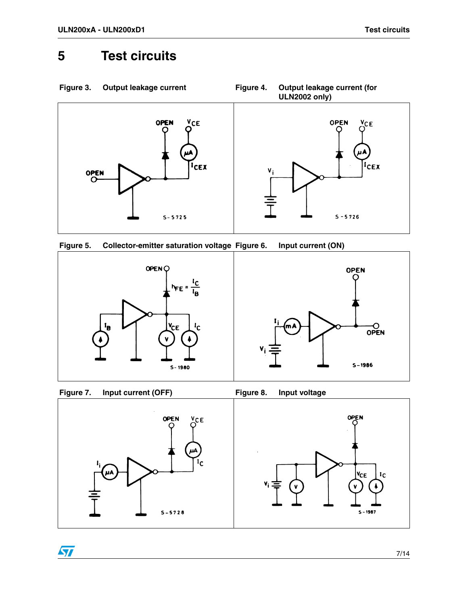## <span id="page-6-0"></span>**5 Test circuits**

<span id="page-6-1"></span>





<span id="page-6-2"></span>



 $\sqrt{2}$ 

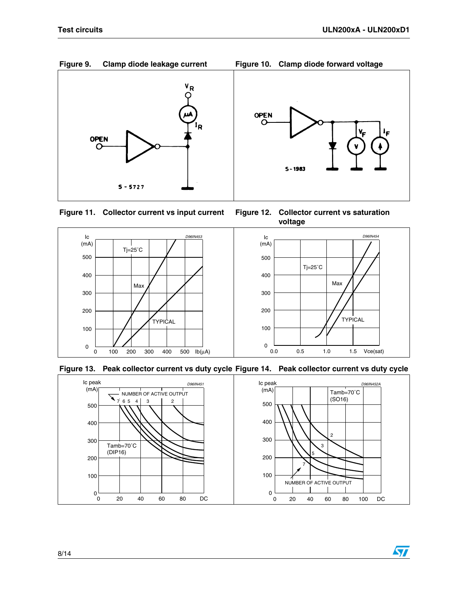57

<span id="page-7-0"></span>

<span id="page-7-1"></span>







**voltage**





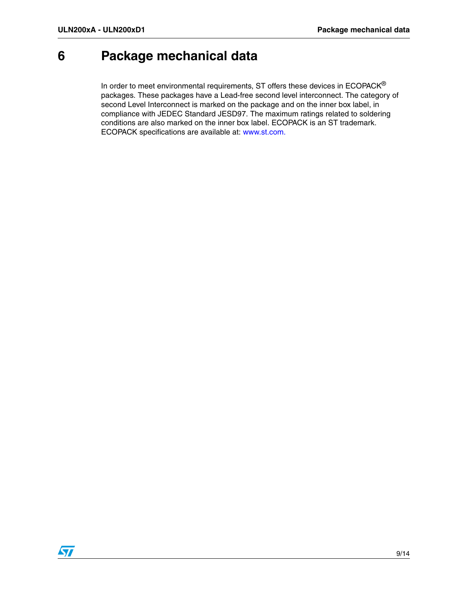## <span id="page-8-0"></span>**6 Package mechanical data**

In order to meet environmental requirements, ST offers these devices in  $ECOPACK^{\circledast}$ packages. These packages have a Lead-free second level interconnect. The category of second Level Interconnect is marked on the package and on the inner box label, in compliance with JEDEC Standard JESD97. The maximum ratings related to soldering conditions are also marked on the inner box label. ECOPACK is an ST trademark. ECOPACK specifications are available at: www.st.com.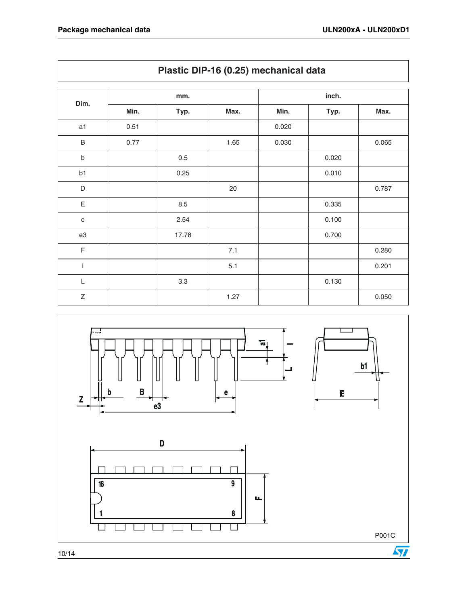|              |      | mm.     |        |       | inch. |       |
|--------------|------|---------|--------|-------|-------|-------|
| Dim.         | Min. | Typ.    | Max.   | Min.  | Typ.  | Max.  |
| a1           | 0.51 |         |        | 0.020 |       |       |
| $\sf B$      | 0.77 |         | 1.65   | 0.030 |       | 0.065 |
| $\sf b$      |      | $0.5\,$ |        |       | 0.020 |       |
| b1           |      | 0.25    |        |       | 0.010 |       |
| D            |      |         | $20\,$ |       |       | 0.787 |
| $\mathsf E$  |      | 8.5     |        |       | 0.335 |       |
| $\mathbf e$  |      | 2.54    |        |       | 0.100 |       |
| e3           |      | 17.78   |        |       | 0.700 |       |
| $\mathsf F$  |      |         | 7.1    |       |       | 0.280 |
| $\mathsf{I}$ |      |         | 5.1    |       |       | 0.201 |
| L            |      | 3.3     |        |       | 0.130 |       |
| $\mathsf Z$  |      |         | 1.27   |       |       | 0.050 |





10/14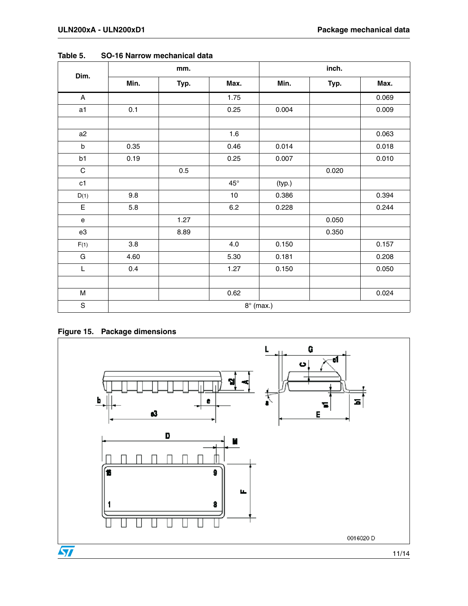|               | mm.<br>Dim. |      |              | inch.            |       |       |
|---------------|-------------|------|--------------|------------------|-------|-------|
|               | Min.        | Typ. | Max.         | Min.             | Typ.  | Max.  |
| $\mathsf{A}$  |             |      | 1.75         |                  |       | 0.069 |
| a1            | 0.1         |      | 0.25         | 0.004            |       | 0.009 |
| a2            |             |      | 1.6          |                  |       | 0.063 |
| $\sf b$       | 0.35        |      | 0.46         | 0.014            |       | 0.018 |
| b1            | 0.19        |      | 0.25         | 0.007            |       | 0.010 |
| $\mathsf C$   |             | 0.5  |              |                  | 0.020 |       |
| c1            |             |      | $45^{\circ}$ | (typ.)           |       |       |
| D(1)          | 9.8         |      | $10$         | 0.386            |       | 0.394 |
| $\mathsf E$   | 5.8         |      | $6.2\,$      | 0.228            |       | 0.244 |
| ${\bf e}$     |             | 1.27 |              |                  | 0.050 |       |
| e3            |             | 8.89 |              |                  | 0.350 |       |
| F(1)          | 3.8         |      | 4.0          | 0.150            |       | 0.157 |
| ${\bf G}$     | 4.60        |      | 5.30         | 0.181            |       | 0.208 |
| L             | 0.4         |      | 1.27         | 0.150            |       | 0.050 |
|               |             |      |              |                  |       |       |
| M             |             |      | 0.62         |                  |       | 0.024 |
| ${\mathsf S}$ |             |      |              | $8^\circ$ (max.) |       |       |

**Table 5. SO-16 Narrow mechanical data**

### **Figure 15. Package dimensions**

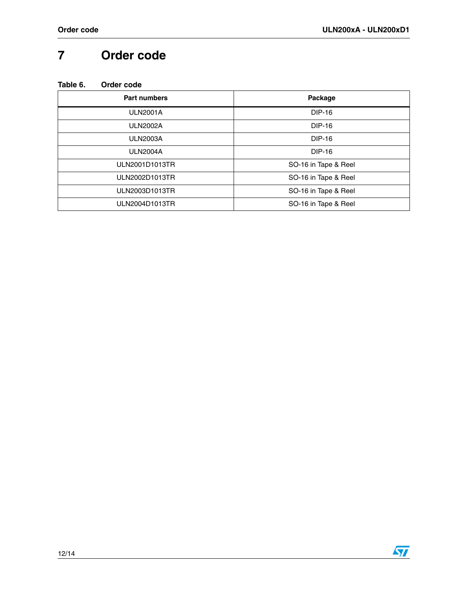## <span id="page-11-0"></span>**7 Order code**

| <b>Part numbers</b> | Package              |
|---------------------|----------------------|
| <b>ULN2001A</b>     | DIP-16               |
| <b>ULN2002A</b>     | <b>DIP-16</b>        |
| <b>ULN2003A</b>     | <b>DIP-16</b>        |
| <b>ULN2004A</b>     | <b>DIP-16</b>        |
| ULN2001D1013TR      | SO-16 in Tape & Reel |
| ULN2002D1013TR      | SO-16 in Tape & Reel |
| ULN2003D1013TR      | SO-16 in Tape & Reel |
| ULN2004D1013TR      | SO-16 in Tape & Reel |

 $\sqrt{2}$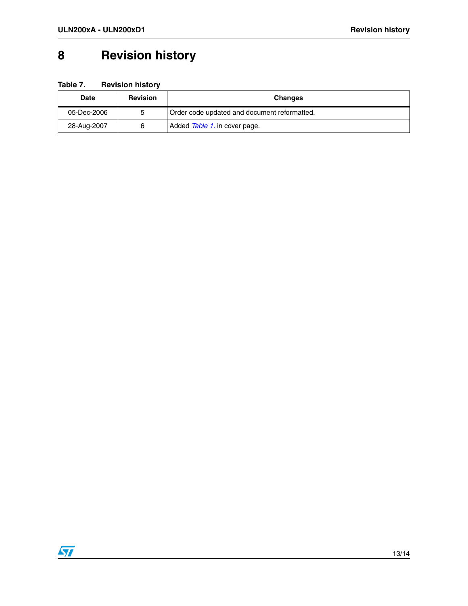## <span id="page-12-0"></span>**8 Revision history**

**Table 7. Revision history**

| <b>Date</b> | <b>Revision</b> | <b>Changes</b>                               |
|-------------|-----------------|----------------------------------------------|
| 05-Dec-2006 | 5               | Order code updated and document reformatted. |
| 28-Aug-2007 | 6               | Added Table 1. in cover page.                |